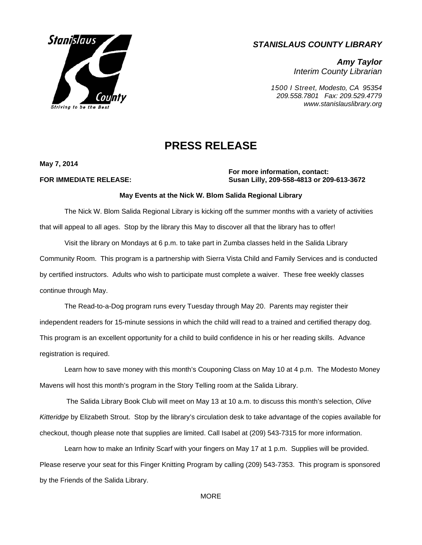

## *STANISLAUS COUNTY LIBRARY*

*Amy Taylor Interim County Librarian* 

*1500 I Street, Modesto, CA 95354 209.558.7801 Fax: 209.529.4779 www.stanislauslibrary.org* 

# **PRESS RELEASE**

**May 7, 2014** 

### **For more information, contact: FOR IMMEDIATE RELEASE: Susan Lilly, 209-558-4813 or 209-613-3672**

### **May Events at the Nick W. Blom Salida Regional Library**

The Nick W. Blom Salida Regional Library is kicking off the summer months with a variety of activities that will appeal to all ages. Stop by the library this May to discover all that the library has to offer!

 Visit the library on Mondays at 6 p.m. to take part in Zumba classes held in the Salida Library Community Room. This program is a partnership with Sierra Vista Child and Family Services and is conducted by certified instructors. Adults who wish to participate must complete a waiver. These free weekly classes continue through May.

The Read-to-a-Dog program runs every Tuesday through May 20. Parents may register their independent readers for 15-minute sessions in which the child will read to a trained and certified therapy dog. This program is an excellent opportunity for a child to build confidence in his or her reading skills. Advance registration is required.

Learn how to save money with this month's Couponing Class on May 10 at 4 p.m. The Modesto Money Mavens will host this month's program in the Story Telling room at the Salida Library.

 The Salida Library Book Club will meet on May 13 at 10 a.m. to discuss this month's selection, *Olive Kitteridge* by Elizabeth Strout. Stop by the library's circulation desk to take advantage of the copies available for checkout, though please note that supplies are limited. Call Isabel at (209) 543-7315 for more information.

 Learn how to make an Infinity Scarf with your fingers on May 17 at 1 p.m. Supplies will be provided. Please reserve your seat for this Finger Knitting Program by calling (209) 543-7353. This program is sponsored by the Friends of the Salida Library.